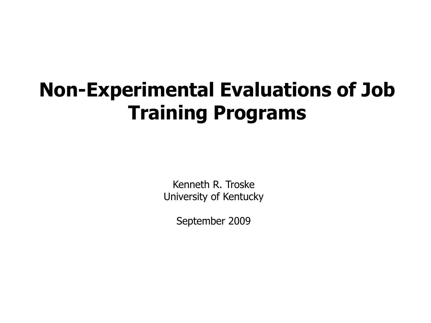#### **Non-Experimental Evaluations of Job Training Programs**

Kenneth R. Troske University of Kentucky

September 2009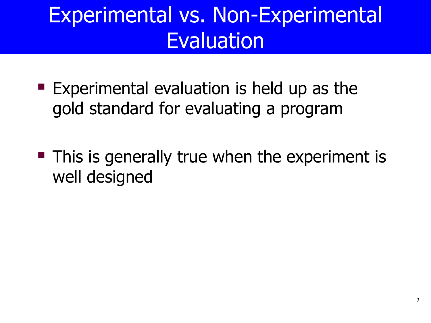- $\blacksquare$  Experimental evaluation is held up as the gold standard for evaluating a program
- **This is generally true when the experiment is** well designed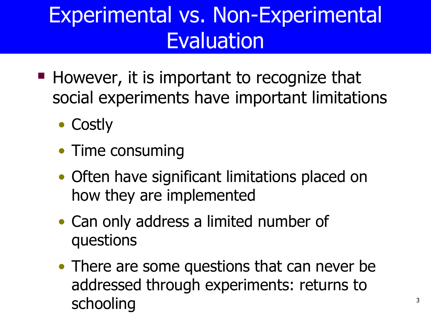- $\blacksquare$  However, it is important to recognize that social experiments have important limitations
	- Costly
	- Time consuming
	- Often have significant limitations placed on how they are implemented
	- Can only address a limited number of questions
	- addressed through experiments: returns to • There are some questions that can never be schooling 3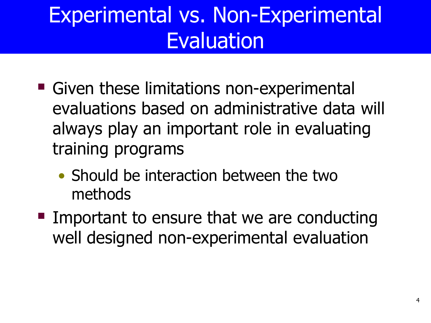- Given these limitations non-experimental evaluations based on administrative data will always play an important role in evaluating training programs
	- Should be interaction between the two methods
- Important to ensure that we are conducting well designed non-experimental evaluation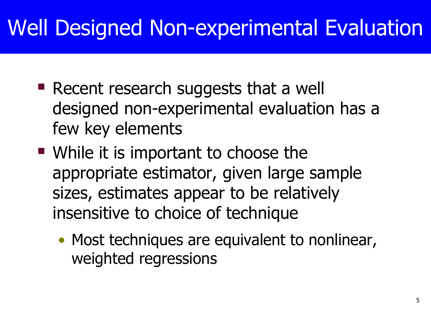### Well Designed Non-experimental Evaluation

- Recent research suggests that a well designed non-experimental evaluation has a few key elements
- While it is important to choose the appropriate estimator, given large sample sizes, estimates appear to be relatively insensitive to choice of technique
	- Most techniques are equivalent to nonlinear, weighted regressions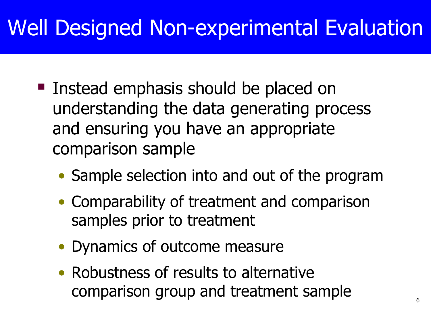### Well Designed Non-experimental Evaluation

- Instead emphasis should be placed on understanding the data generating process and ensuring you have an appropriate comparison sample
	- Sample selection into and out of the program
	- samples prior to treatment • Comparability of treatment and comparison
	- Dynamics of outcome measure
	- Robustness of results to alternative comparison group and treatment sample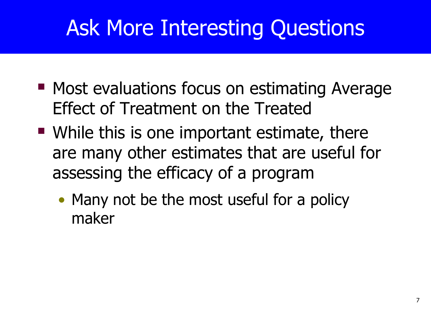# Ask More Interesting Questions

- **Most evaluations focus on estimating Average** Effect of Treatment on the Treated
- While this is one important estimate, there are many other estimates that are useful for assessing the efficacy of a program
	- Many not be the most useful for a policy maker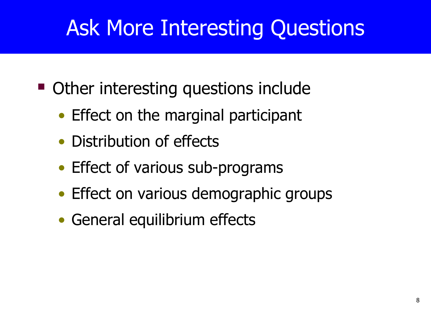## Ask More Interesting Questions

- Other interesting questions include
	- Effect on the marginal participant
	- Distribution of effects
	- Effect of various sub-programs
	- Effect on various demographic groups
	- General equilibrium effects